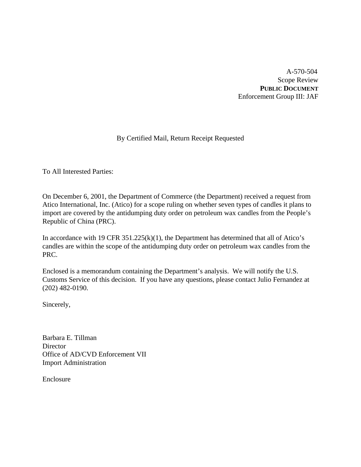A-570-504 Scope Review **PUBLIC DOCUMENT** Enforcement Group III: JAF

# By Certified Mail, Return Receipt Requested

To All Interested Parties:

On December 6, 2001, the Department of Commerce (the Department) received a request from Atico International, Inc. (Atico) for a scope ruling on whether seven types of candles it plans to import are covered by the antidumping duty order on petroleum wax candles from the People's Republic of China (PRC).

In accordance with 19 CFR  $351.225(k)(1)$ , the Department has determined that all of Atico's candles are within the scope of the antidumping duty order on petroleum wax candles from the PRC.

Enclosed is a memorandum containing the Department's analysis. We will notify the U.S. Customs Service of this decision. If you have any questions, please contact Julio Fernandez at (202) 482-0190.

Sincerely,

Barbara E. Tillman **Director** Office of AD/CVD Enforcement VII Import Administration

Enclosure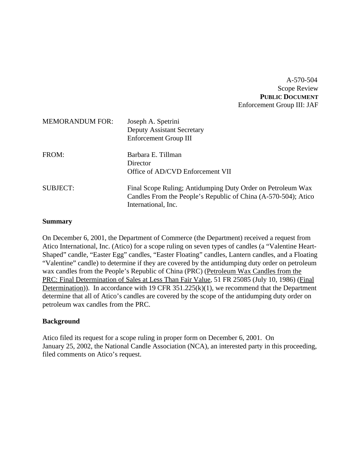A-570-504 Scope Review **PUBLIC DOCUMENT** Enforcement Group III: JAF

| <b>MEMORANDUM FOR:</b> | Joseph A. Spetrini<br><b>Deputy Assistant Secretary</b><br>Enforcement Group III                                                                     |
|------------------------|------------------------------------------------------------------------------------------------------------------------------------------------------|
| FROM:                  | Barbara E. Tillman<br>Director<br>Office of AD/CVD Enforcement VII                                                                                   |
| <b>SUBJECT:</b>        | Final Scope Ruling; Antidumping Duty Order on Petroleum Wax<br>Candles From the People's Republic of China (A-570-504); Atico<br>International, Inc. |

#### **Summary**

On December 6, 2001, the Department of Commerce (the Department) received a request from Atico International, Inc. (Atico) for a scope ruling on seven types of candles (a "Valentine Heart-Shaped" candle, "Easter Egg" candles, "Easter Floating" candles, Lantern candles, and a Floating "Valentine" candle) to determine if they are covered by the antidumping duty order on petroleum wax candles from the People's Republic of China (PRC) (Petroleum Wax Candles from the PRC: Final Determination of Sales at Less Than Fair Value, 51 FR 25085 (July 10, 1986) (Final Determination)). In accordance with 19 CFR 351.225(k)(1), we recommend that the Department determine that all of Atico's candles are covered by the scope of the antidumping duty order on petroleum wax candles from the PRC.

## **Background**

Atico filed its request for a scope ruling in proper form on December 6, 2001. On January 25, 2002, the National Candle Association (NCA), an interested party in this proceeding, filed comments on Atico's request.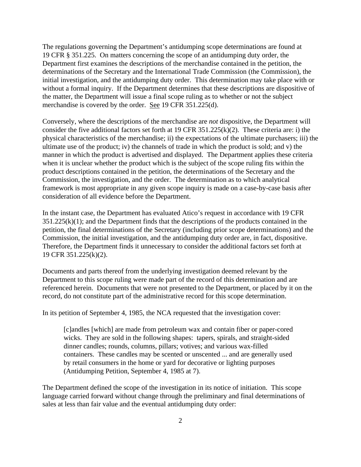The regulations governing the Department's antidumping scope determinations are found at 19 CFR § 351.225. On matters concerning the scope of an antidumping duty order, the Department first examines the descriptions of the merchandise contained in the petition, the determinations of the Secretary and the International Trade Commission (the Commission), the initial investigation, and the antidumping duty order. This determination may take place with or without a formal inquiry. If the Department determines that these descriptions are dispositive of the matter, the Department will issue a final scope ruling as to whether or not the subject merchandise is covered by the order. See 19 CFR 351.225(d).

Conversely, where the descriptions of the merchandise are *not* dispositive, the Department will consider the five additional factors set forth at 19 CFR 351.225(k)(2). These criteria are: i) the physical characteristics of the merchandise; ii) the expectations of the ultimate purchasers; iii) the ultimate use of the product; iv) the channels of trade in which the product is sold; and v) the manner in which the product is advertised and displayed. The Department applies these criteria when it is unclear whether the product which is the subject of the scope ruling fits within the product descriptions contained in the petition, the determinations of the Secretary and the Commission, the investigation, and the order. The determination as to which analytical framework is most appropriate in any given scope inquiry is made on a case-by-case basis after consideration of all evidence before the Department.

In the instant case, the Department has evaluated Atico's request in accordance with 19 CFR  $351.225(k)(1)$ ; and the Department finds that the descriptions of the products contained in the petition, the final determinations of the Secretary (including prior scope determinations) and the Commission, the initial investigation, and the antidumping duty order are, in fact, dispositive. Therefore, the Department finds it unnecessary to consider the additional factors set forth at 19 CFR 351.225(k)(2).

Documents and parts thereof from the underlying investigation deemed relevant by the Department to this scope ruling were made part of the record of this determination and are referenced herein. Documents that were not presented to the Department, or placed by it on the record, do not constitute part of the administrative record for this scope determination.

In its petition of September 4, 1985, the NCA requested that the investigation cover:

[c]andles [which] are made from petroleum wax and contain fiber or paper-cored wicks. They are sold in the following shapes: tapers, spirals, and straight-sided dinner candles; rounds, columns, pillars; votives; and various wax-filled containers. These candles may be scented or unscented ... and are generally used by retail consumers in the home or yard for decorative or lighting purposes (Antidumping Petition, September 4, 1985 at 7).

The Department defined the scope of the investigation in its notice of initiation. This scope language carried forward without change through the preliminary and final determinations of sales at less than fair value and the eventual antidumping duty order: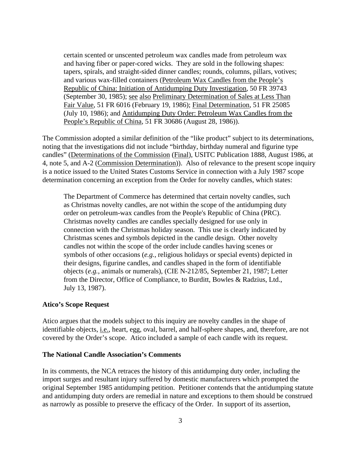certain scented or unscented petroleum wax candles made from petroleum wax and having fiber or paper-cored wicks. They are sold in the following shapes: tapers, spirals, and straight-sided dinner candles; rounds, columns, pillars, votives; and various wax-filled containers (Petroleum Wax Candles from the People's Republic of China: Initiation of Antidumping Duty Investigation, 50 FR 39743 (September 30, 1985); see also Preliminary Determination of Sales at Less Than Fair Value, 51 FR 6016 (February 19, 1986); Final Determination, 51 FR 25085 (July 10, 1986); and Antidumping Duty Order: Petroleum Wax Candles from the People's Republic of China, 51 FR 30686 (August 28, 1986)).

The Commission adopted a similar definition of the "like product" subject to its determinations, noting that the investigations did not include "birthday, birthday numeral and figurine type candles" (Determinations of the Commission (Final), USITC Publication 1888, August 1986, at 4, note 5, and A-2 (Commission Determination)). Also of relevance to the present scope inquiry is a notice issued to the United States Customs Service in connection with a July 1987 scope determination concerning an exception from the Order for novelty candles, which states:

The Department of Commerce has determined that certain novelty candles, such as Christmas novelty candles, are not within the scope of the antidumping duty order on petroleum-wax candles from the People's Republic of China (PRC). Christmas novelty candles are candles specially designed for use only in connection with the Christmas holiday season. This use is clearly indicated by Christmas scenes and symbols depicted in the candle design. Other novelty candles not within the scope of the order include candles having scenes or symbols of other occasions (*e.g.*, religious holidays or special events) depicted in their designs, figurine candles, and candles shaped in the form of identifiable objects (*e.g.*, animals or numerals), (CIE N-212/85, September 21, 1987; Letter from the Director, Office of Compliance, to Burditt, Bowles & Radzius, Ltd., July 13, 1987).

### **Atico's Scope Request**

Atico argues that the models subject to this inquiry are novelty candles in the shape of identifiable objects, i.e., heart, egg, oval, barrel, and half-sphere shapes, and, therefore, are not covered by the Order's scope. Atico included a sample of each candle with its request.

#### **The National Candle Association's Comments**

In its comments, the NCA retraces the history of this antidumping duty order, including the import surges and resultant injury suffered by domestic manufacturers which prompted the original September 1985 antidumping petition. Petitioner contends that the antidumping statute and antidumping duty orders are remedial in nature and exceptions to them should be construed as narrowly as possible to preserve the efficacy of the Order. In support of its assertion,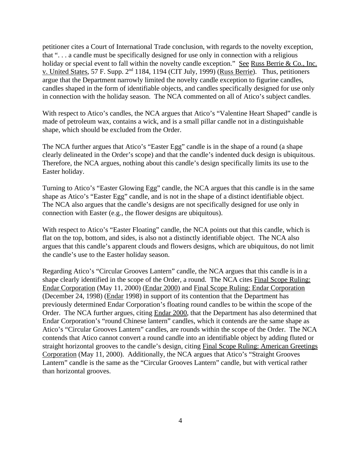petitioner cites a Court of International Trade conclusion, with regards to the novelty exception, that ". . . a candle must be specifically designed for use only in connection with a religious holiday or special event to fall within the novelty candle exception." See Russ Berrie & Co., Inc. v. United States, 57 F. Supp. 2<sup>nd</sup> 1184, 1194 (CIT July, 1999) (Russ Berrie). Thus, petitioners argue that the Department narrowly limited the novelty candle exception to figurine candles, candles shaped in the form of identifiable objects, and candles specifically designed for use only in connection with the holiday season. The NCA commented on all of Atico's subject candles.

With respect to Atico's candles, the NCA argues that Atico's "Valentine Heart Shaped" candle is made of petroleum wax, contains a wick, and is a small pillar candle not in a distinguishable shape, which should be excluded from the Order.

The NCA further argues that Atico's "Easter Egg" candle is in the shape of a round (a shape clearly delineated in the Order's scope) and that the candle's indented duck design is ubiquitous. Therefore, the NCA argues, nothing about this candle's design specifically limits its use to the Easter holiday.

Turning to Atico's "Easter Glowing Egg" candle, the NCA argues that this candle is in the same shape as Atico's "Easter Egg" candle, and is not in the shape of a distinct identifiable object. The NCA also argues that the candle's designs are not specifically designed for use only in connection with Easter (e.g., the flower designs are ubiquitous).

With respect to Atico's "Easter Floating" candle, the NCA points out that this candle, which is flat on the top, bottom, and sides, is also not a distinctly identifiable object. The NCA also argues that this candle's apparent clouds and flowers designs, which are ubiquitous, do not limit the candle's use to the Easter holiday season.

Regarding Atico's "Circular Grooves Lantern" candle, the NCA argues that this candle is in a shape clearly identified in the scope of the Order, a round. The NCA cites Final Scope Ruling: Endar Corporation (May 11, 2000) (Endar 2000) and Final Scope Ruling: Endar Corporation (December 24, 1998) (Endar 1998) in support of its contention that the Department has previously determined Endar Corporation's floating round candles to be within the scope of the Order. The NCA further argues, citing Endar 2000, that the Department has also determined that Endar Corporation's "round Chinese lantern" candles, which it contends are the same shape as Atico's "Circular Grooves Lantern" candles, are rounds within the scope of the Order. The NCA contends that Atico cannot convert a round candle into an identifiable object by adding fluted or straight horizontal grooves to the candle's design, citing Final Scope Ruling: American Greetings Corporation (May 11, 2000). Additionally, the NCA argues that Atico's "Straight Grooves Lantern" candle is the same as the "Circular Grooves Lantern" candle, but with vertical rather than horizontal grooves.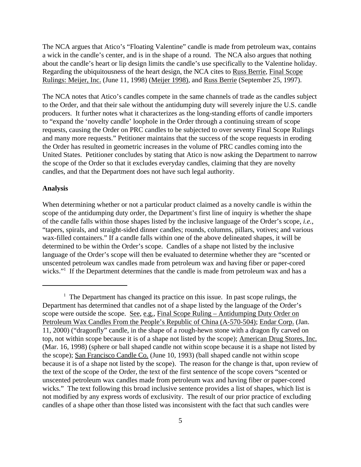The NCA argues that Atico's "Floating Valentine" candle is made from petroleum wax, contains a wick in the candle's center, and is in the shape of a round. The NCA also argues that nothing about the candle's heart or lip design limits the candle's use specifically to the Valentine holiday. Regarding the ubiquitousness of the heart design, the NCA cites to Russ Berrie, Final Scope Rulings: Meijer, Inc. (June 11, 1998) (Meijer 1998), and Russ Berrie (September 25, 1997).

The NCA notes that Atico's candles compete in the same channels of trade as the candles subject to the Order, and that their sale without the antidumping duty will severely injure the U.S. candle producers. It further notes what it characterizes as the long-standing efforts of candle importers to "expand the 'novelty candle' loophole in the Order through a continuing stream of scope requests, causing the Order on PRC candles to be subjected to over seventy Final Scope Rulings and many more requests." Petitioner maintains that the success of the scope requests in eroding the Order has resulted in geometric increases in the volume of PRC candles coming into the United States. Petitioner concludes by stating that Atico is now asking the Department to narrow the scope of the Order so that it excludes everyday candles, claiming that they are novelty candles, and that the Department does not have such legal authority.

#### **Analysis**

When determining whether or not a particular product claimed as a novelty candle is within the scope of the antidumping duty order, the Department's first line of inquiry is whether the shape of the candle falls within those shapes listed by the inclusive language of the Order's scope, *i.e.*, "tapers, spirals, and straight-sided dinner candles; rounds, columns, pillars, votives; and various wax-filled containers." If a candle falls within one of the above delineated shapes, it will be determined to be within the Order's scope. Candles of a shape not listed by the inclusive language of the Order's scope will then be evaluated to determine whether they are "scented or unscented petroleum wax candles made from petroleum wax and having fiber or paper-cored wicks."<sup>1</sup> If the Department determines that the candle is made from petroleum wax and has a

 $<sup>1</sup>$  The Department has changed its practice on this issue. In past scope rulings, the</sup> Department has determined that candles not of a shape listed by the language of the Order's scope were outside the scope. See, e.g., Final Scope Ruling – Antidumping Duty Order on Petroleum Wax Candles From the People's Republic of China (A-570-504); Endar Corp. (Jan. 11, 2000) ("dragonfly" candle, in the shape of a rough-hewn stone with a dragon fly carved on top, not within scope because it is of a shape not listed by the scope); American Drug Stores, Inc. (Mar. 16, 1998) (sphere or ball shaped candle not within scope because it is a shape not listed by the scope); San Francisco Candle Co. (June 10, 1993) (ball shaped candle not within scope because it is of a shape not listed by the scope). The reason for the change is that, upon review of the text of the scope of the Order, the text of the first sentence of the scope covers "scented or unscented petroleum wax candles made from petroleum wax and having fiber or paper-cored wicks." The text following this broad inclusive sentence provides a list of shapes, which list is not modified by any express words of exclusivity. The result of our prior practice of excluding candles of a shape other than those listed was inconsistent with the fact that such candles were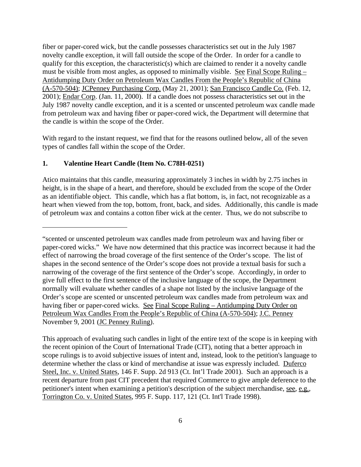fiber or paper-cored wick, but the candle possesses characteristics set out in the July 1987 novelty candle exception, it will fall outside the scope of the Order. In order for a candle to qualify for this exception, the characteristic(s) which are claimed to render it a novelty candle must be visible from most angles, as opposed to minimally visible. See Final Scope Ruling – Antidumping Duty Order on Petroleum Wax Candles From the People's Republic of China (A-570-504); JCPenney Purchasing Corp. (May 21, 2001); San Francisco Candle Co. (Feb. 12, 2001); Endar Corp. (Jan. 11, 2000). If a candle does not possess characteristics set out in the July 1987 novelty candle exception, and it is a scented or unscented petroleum wax candle made from petroleum wax and having fiber or paper-cored wick, the Department will determine that the candle is within the scope of the Order.

With regard to the instant request, we find that for the reasons outlined below, all of the seven types of candles fall within the scope of the Order.

### **1. Valentine Heart Candle (Item No. C78H-0251)**

Atico maintains that this candle, measuring approximately 3 inches in width by 2.75 inches in height, is in the shape of a heart, and therefore, should be excluded from the scope of the Order as an identifiable object. This candle, which has a flat bottom, is, in fact, not recognizable as a heart when viewed from the top, bottom, front, back, and sides. Additionally, this candle is made of petroleum wax and contains a cotton fiber wick at the center. Thus, we do not subscribe to

<sup>&</sup>quot;scented or unscented petroleum wax candles made from petroleum wax and having fiber or paper-cored wicks." We have now determined that this practice was incorrect because it had the effect of narrowing the broad coverage of the first sentence of the Order's scope. The list of shapes in the second sentence of the Order's scope does not provide a textual basis for such a narrowing of the coverage of the first sentence of the Order's scope. Accordingly, in order to give full effect to the first sentence of the inclusive language of the scope, the Department normally will evaluate whether candles of a shape not listed by the inclusive language of the Order's scope are scented or unscented petroleum wax candles made from petroleum wax and having fiber or paper-cored wicks. See Final Scope Ruling – Antidumping Duty Order on Petroleum Wax Candles From the People's Republic of China (A-570-504); J.C. Penney November 9, 2001 (JC Penney Ruling).

This approach of evaluating such candles in light of the entire text of the scope is in keeping with the recent opinion of the Court of International Trade (CIT), noting that a better approach in scope rulings is to avoid subjective issues of intent and, instead, look to the petition's language to determine whether the class or kind of merchandise at issue was expressly included. Duferco Steel, Inc. v. United States, 146 F. Supp. 2d 913 (Ct. Int'l Trade 2001). Such an approach is a recent departure from past CIT precedent that required Commerce to give ample deference to the petitioner's intent when examining a petition's description of the subject merchandise, see, e.g., Torrington Co. v. United States, 995 F. Supp. 117, 121 (Ct. Int'l Trade 1998).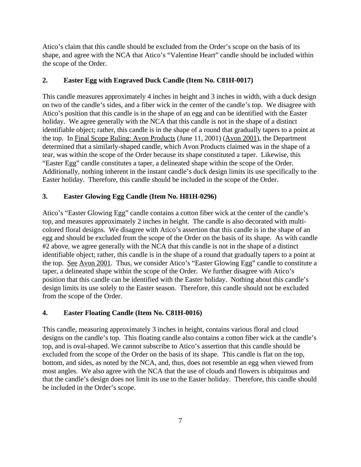Atico's claim that this candle should be excluded from the Order's scope on the basis of its shape, and agree with the NCA that Atico's "Valentine Heart" candle should be included within the scope of the Order.

# **2. Easter Egg with Engraved Duck Candle (Item No. C81H-0017)**

This candle measures approximately 4 inches in height and 3 inches in width, with a duck design on two of the candle's sides, and a fiber wick in the center of the candle's top. We disagree with Atico's position that this candle is in the shape of an egg and can be identified with the Easter holiday. We agree generally with the NCA that this candle is not in the shape of a distinct identifiable object; rather, this candle is in the shape of a round that gradually tapers to a point at the top. In Final Scope Ruling: Avon Products (June 11, 2001) (Avon 2001), the Department determined that a similarly-shaped candle, which Avon Products claimed was in the shape of a tear, was within the scope of the Order because its shape constituted a taper. Likewise, this "Easter Egg" candle constitutes a taper, a delineated shape within the scope of the Order. Additionally, nothing inherent in the instant candle's duck design limits its use specifically to the Easter holiday. Therefore, this candle should be included in the scope of the Order.

# **3. Easter Glowing Egg Candle (Item No. H81H-0296)**

Atico's "Easter Glowing Egg" candle contains a cotton fiber wick at the center of the candle's top, and measures approximately 2 inches in height. The candle is also decorated with multicolored floral designs. We disagree with Atico's assertion that this candle is in the shape of an egg and should be excluded from the scope of the Order on the basis of its shape. As with candle #2 above, we agree generally with the NCA that this candle is not in the shape of a distinct identifiable object; rather, this candle is in the shape of a round that gradually tapers to a point at the top. See Avon 2001. Thus, we consider Atico's "Easter Glowing Egg" candle to constitute a taper, a delineated shape within the scope of the Order. We further disagree with Atico's position that this candle can be identified with the Easter holiday. Nothing about this candle's design limits its use solely to the Easter season. Therefore, this candle should not be excluded from the scope of the Order.

# **4. Easter Floating Candle (Item No. C81H-0016)**

This candle, measuring approximately 3 inches in height, contains various floral and cloud designs on the candle's top. This floating candle also contains a cotton fiber wick at the candle's top, and is oval-shaped. We cannot subscribe to Atico's assertion that this candle should be excluded from the scope of the Order on the basis of its shape. This candle is flat on the top, bottom, and sides, as noted by the NCA, and, thus, does not resemble an egg when viewed from most angles. We also agree with the NCA that the use of clouds and flowers is ubiquitous and that the candle's design does not limit its use to the Easter holiday. Therefore, this candle should be included in the Order's scope.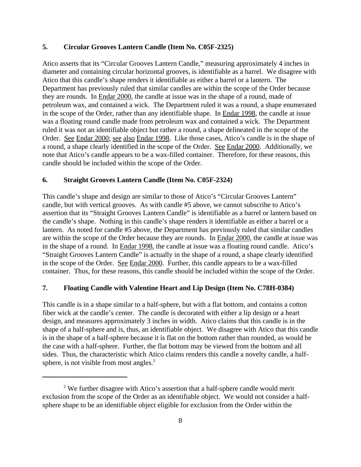### **5. Circular Grooves Lantern Candle (Item No. C05F-2325)**

Atico asserts that its "Circular Grooves Lantern Candle," measuring approximately 4 inches in diameter and containing circular horizontal grooves, is identifiable as a barrel. We disagree with Atico that this candle's shape renders it identifiable as either a barrel or a lantern. The Department has previously ruled that similar candles are within the scope of the Order because they are rounds. In Endar 2000, the candle at issue was in the shape of a round, made of petroleum wax, and contained a wick. The Department ruled it was a round, a shape enumerated in the scope of the Order, rather than any identifiable shape. In Endar 1998, the candle at issue was a floating round candle made from petroleum wax and contained a wick. The Department ruled it was not an identifiable object but rather a round, a shape delineated in the scope of the Order. See Endar 2000; see also Endar 1998. Like those cases, Atico's candle is in the shape of a round, a shape clearly identified in the scope of the Order. See Endar 2000. Additionally, we note that Atico's candle appears to be a wax-filled container. Therefore, for these reasons, this candle should be included within the scope of the Order.

## **6. Straight Grooves Lantern Candle (Item No. C05F-2324)**

This candle's shape and design are similar to those of Atico's "Circular Grooves Lantern" candle, but with vertical grooves. As with candle #5 above, we cannot subscribe to Atico's assertion that its "Straight Grooves Lantern Candle" is identifiable as a barrel or lantern based on the candle's shape. Nothing in this candle's shape renders it identifiable as either a barrel or a lantern. As noted for candle #5 above, the Department has previously ruled that similar candles are within the scope of the Order because they are rounds. In Endar 2000, the candle at issue was in the shape of a round. In Endar 1998, the candle at issue was a floating round candle. Atico's "Straight Grooves Lantern Candle" is actually in the shape of a round, a shape clearly identified in the scope of the Order. See Endar 2000. Further, this candle appears to be a wax-filled container. Thus, for these reasons, this candle should be included within the scope of the Order.

#### **7. Floating Candle with Valentine Heart and Lip Design (Item No. C78H-0384)**

This candle is in a shape similar to a half-sphere, but with a flat bottom, and contains a cotton fiber wick at the candle's center. The candle is decorated with either a lip design or a heart design, and measures approximately 3 inches in width. Atico claims that this candle is in the shape of a half-sphere and is, thus, an identifiable object. We disagree with Atico that this candle is in the shape of a half-sphere because it is flat on the bottom rather than rounded, as would be the case with a half-sphere. Further, the flat bottom may be viewed from the bottom and all sides. Thus, the characteristic which Atico claims renders this candle a novelty candle, a halfsphere, is not visible from most angles.<sup>2</sup>

<sup>&</sup>lt;sup>2</sup> We further disagree with Atico's assertion that a half-sphere candle would merit exclusion from the scope of the Order as an identifiable object. We would not consider a halfsphere shape to be an identifiable object eligible for exclusion from the Order within the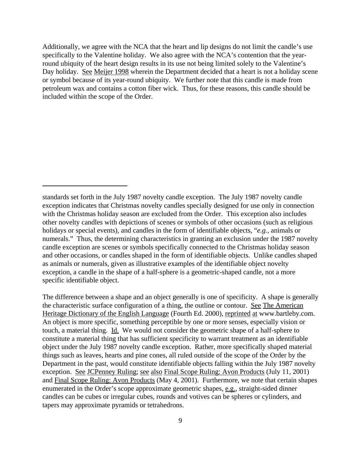Additionally, we agree with the NCA that the heart and lip designs do not limit the candle's use specifically to the Valentine holiday. We also agree with the NCA's contention that the yearround ubiquity of the heart design results in its use not being limited solely to the Valentine's Day holiday. See Meijer 1998 wherein the Department decided that a heart is not a holiday scene or symbol because of its year-round ubiquity. We further note that this candle is made from petroleum wax and contains a cotton fiber wick. Thus, for these reasons, this candle should be included within the scope of the Order.

The difference between a shape and an object generally is one of specificity. A shape is generally the characteristic surface configuration of a thing, the outline or contour. See The American Heritage Dictionary of the English Language (Fourth Ed. 2000), reprinted at www.bartleby.com. An object is more specific, something perceptible by one or more senses, especially vision or touch, a material thing. Id. We would not consider the geometric shape of a half-sphere to constitute a material thing that has sufficient specificity to warrant treatment as an identifiable object under the July 1987 novelty candle exception. Rather, more specifically shaped material things such as leaves, hearts and pine cones, all ruled outside of the scope of the Order by the Department in the past, would constitute identifiable objects falling within the July 1987 novelty exception. See JCPenney Ruling; see also Final Scope Ruling: Avon Products (July 11, 2001) and Final Scope Ruling: Avon Products (May 4, 2001). Furthermore, we note that certain shapes enumerated in the Order's scope approximate geometric shapes, e.g., straight-sided dinner candles can be cubes or irregular cubes, rounds and votives can be spheres or cylinders, and tapers may approximate pyramids or tetrahedrons.

standards set forth in the July 1987 novelty candle exception. The July 1987 novelty candle exception indicates that Christmas novelty candles specially designed for use only in connection with the Christmas holiday season are excluded from the Order. This exception also includes other novelty candles with depictions of scenes or symbols of other occasions (such as religious holidays or special events), and candles in the form of identifiable objects, "*e.g.*, animals or numerals." Thus, the determining characteristics in granting an exclusion under the 1987 novelty candle exception are scenes or symbols specifically connected to the Christmas holiday season and other occasions, or candles shaped in the form of identifiable objects. Unlike candles shaped as animals or numerals, given as illustrative examples of the identifiable object novelty exception, a candle in the shape of a half-sphere is a geometric-shaped candle, not a more specific identifiable object.